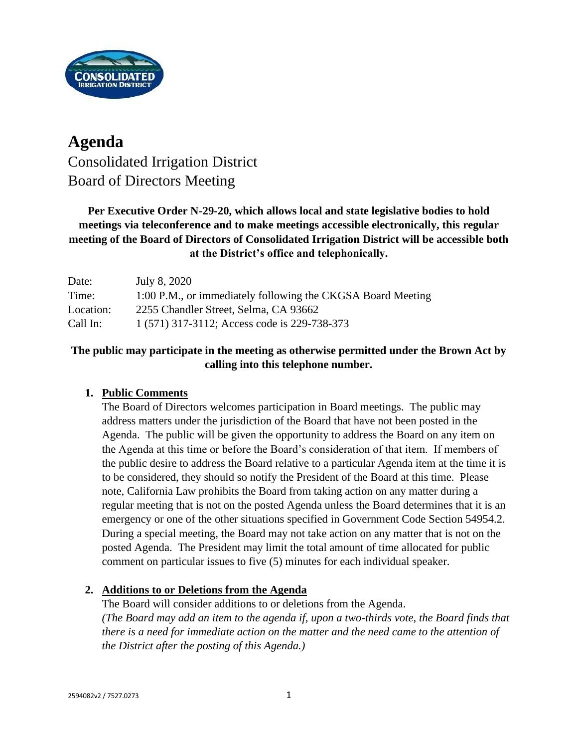

# **Agenda** Consolidated Irrigation District Board of Directors Meeting

## **Per Executive Order N-29-20, which allows local and state legislative bodies to hold meetings via teleconference and to make meetings accessible electronically, this regular meeting of the Board of Directors of Consolidated Irrigation District will be accessible both at the District's office and telephonically.**

| Date:     | July 8, 2020                                                |
|-----------|-------------------------------------------------------------|
| Time:     | 1:00 P.M., or immediately following the CKGSA Board Meeting |
| Location: | 2255 Chandler Street, Selma, CA 93662                       |
| Call In:  | 1 (571) 317-3112; Access code is 229-738-373                |

## **The public may participate in the meeting as otherwise permitted under the Brown Act by calling into this telephone number.**

## **1. Public Comments**

The Board of Directors welcomes participation in Board meetings. The public may address matters under the jurisdiction of the Board that have not been posted in the Agenda. The public will be given the opportunity to address the Board on any item on the Agenda at this time or before the Board's consideration of that item. If members of the public desire to address the Board relative to a particular Agenda item at the time it is to be considered, they should so notify the President of the Board at this time. Please note, California Law prohibits the Board from taking action on any matter during a regular meeting that is not on the posted Agenda unless the Board determines that it is an emergency or one of the other situations specified in Government Code Section 54954.2. During a special meeting, the Board may not take action on any matter that is not on the posted Agenda. The President may limit the total amount of time allocated for public comment on particular issues to five (5) minutes for each individual speaker.

## **2. Additions to or Deletions from the Agenda**

The Board will consider additions to or deletions from the Agenda. *(The Board may add an item to the agenda if, upon a two-thirds vote, the Board finds that there is a need for immediate action on the matter and the need came to the attention of the District after the posting of this Agenda.)*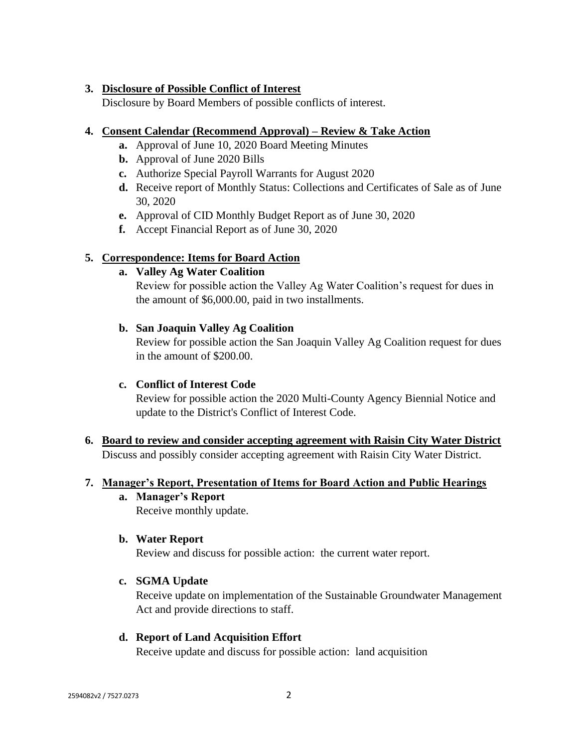## **3. Disclosure of Possible Conflict of Interest**

Disclosure by Board Members of possible conflicts of interest.

## **4. Consent Calendar (Recommend Approval) – Review & Take Action**

- **a.** Approval of June 10, 2020 Board Meeting Minutes
- **b.** Approval of June 2020 Bills
- **c.** Authorize Special Payroll Warrants for August 2020
- **d.** Receive report of Monthly Status: Collections and Certificates of Sale as of June 30, 2020
- **e.** Approval of CID Monthly Budget Report as of June 30, 2020
- **f.** Accept Financial Report as of June 30, 2020

## **5. Correspondence: Items for Board Action**

## **a. Valley Ag Water Coalition**

Review for possible action the Valley Ag Water Coalition's request for dues in the amount of \$6,000.00, paid in two installments.

## **b. San Joaquin Valley Ag Coalition**

Review for possible action the San Joaquin Valley Ag Coalition request for dues in the amount of \$200.00.

## **c. Conflict of Interest Code**

Review for possible action the 2020 Multi-County Agency Biennial Notice and update to the District's Conflict of Interest Code.

**6. Board to review and consider accepting agreement with Raisin City Water District** Discuss and possibly consider accepting agreement with Raisin City Water District.

## **7. Manager's Report, Presentation of Items for Board Action and Public Hearings**

**a. Manager's Report** Receive monthly update.

## **b. Water Report**

Review and discuss for possible action: the current water report.

## **c. SGMA Update**

Receive update on implementation of the Sustainable Groundwater Management Act and provide directions to staff.

### **d. Report of Land Acquisition Effort**

Receive update and discuss for possible action: land acquisition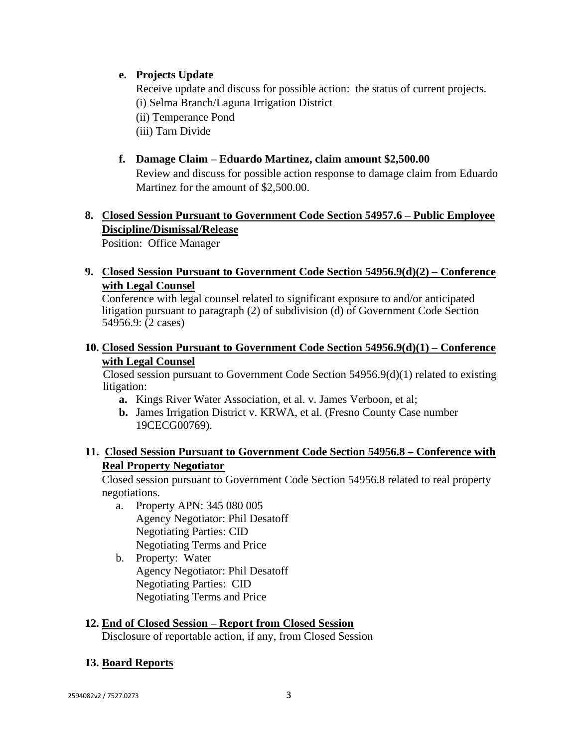## **e. Projects Update**

Receive update and discuss for possible action: the status of current projects. (i) Selma Branch/Laguna Irrigation District

(ii) Temperance Pond

(iii) Tarn Divide

## **f. Damage Claim – Eduardo Martinez, claim amount \$2,500.00**

Review and discuss for possible action response to damage claim from Eduardo Martinez for the amount of \$2,500.00.

## **8. Closed Session Pursuant to Government Code Section 54957.6 – Public Employee Discipline/Dismissal/Release**

Position: Office Manager

## **9. Closed Session Pursuant to Government Code Section 54956.9(d)(2) – Conference with Legal Counsel**

Conference with legal counsel related to significant exposure to and/or anticipated litigation pursuant to paragraph (2) of subdivision (d) of Government Code Section 54956.9: (2 cases)

## **10. Closed Session Pursuant to Government Code Section 54956.9(d)(1) – Conference with Legal Counsel**

Closed session pursuant to Government Code Section  $54956.9(d)(1)$  related to existing litigation:

- **a.** Kings River Water Association, et al. v. James Verboon, et al;
- **b.** James Irrigation District v. KRWA, et al. (Fresno County Case number 19CECG00769).

## **11. Closed Session Pursuant to Government Code Section 54956.8 – Conference with Real Property Negotiator**

Closed session pursuant to Government Code Section 54956.8 related to real property negotiations.

- a. Property APN: 345 080 005 Agency Negotiator: Phil Desatoff Negotiating Parties: CID Negotiating Terms and Price
- b. Property: Water Agency Negotiator: Phil Desatoff Negotiating Parties: CID Negotiating Terms and Price

## **12. End of Closed Session – Report from Closed Session**

Disclosure of reportable action, if any, from Closed Session

## **13. Board Reports**